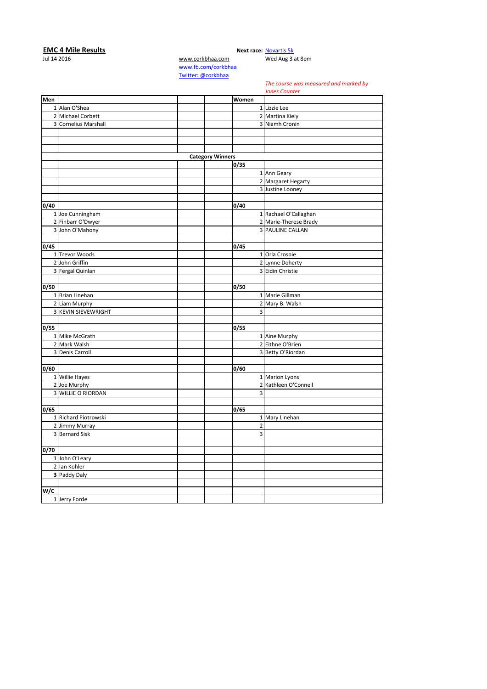## **EMC 4 Mile Results**<br>
Jul 14 2016 **Next race:** [Novartis 5k](http://corkbhaa.com/races/novartis/)<br>
Med Aug 3 and Aug 3 and Aug 3 and Aug 3 and Aug 3 and Aug 3 and Aug 3 and Aug 3 and Aug 3 and Aug 3 and Aug 3 and Aug 3 and Aug 3 and Aug 3 and Aug 3 and Aug 3 an

[www.corkbhaa.com](http://www.corkbhaa.com/#) Wed Aug 3 at 8pm

[www.fb.com/corkbhaa](http://www.fb.com/corkbhaa#) [Twitter: @corkbhaa](https://twitter.com/corkbhaa#)

## *The course was measured and marked by*

*Jones Counter*

|                         |                      |                         |                | JUIIEJ CUUIILEI         |
|-------------------------|----------------------|-------------------------|----------------|-------------------------|
| Men                     |                      |                         | <b>Women</b>   |                         |
|                         | 1 Alan O'Shea        |                         |                | 1 Lizzie Lee            |
|                         | 2 Michael Corbett    |                         |                | 2 Martina Kiely         |
|                         | 3 Cornelius Marshall |                         |                | 3 Niamh Cronin          |
|                         |                      |                         |                |                         |
|                         |                      |                         |                |                         |
|                         |                      |                         |                |                         |
|                         |                      | <b>Category Winners</b> |                |                         |
|                         |                      |                         | 0/35           |                         |
|                         |                      |                         |                | 1 Ann Geary             |
|                         |                      |                         |                | 2 Margaret Hegarty      |
|                         |                      |                         |                | 3 Justine Looney        |
|                         |                      |                         |                |                         |
| 0/40                    |                      |                         | 0/40           |                         |
|                         | 1 Joe Cunningham     |                         |                | 1 Rachael O'Callaghan   |
|                         | 2 Finbarr O'Dwyer    |                         |                | 2 Marie-Therese Brady   |
|                         | 3 John O'Mahony      |                         |                | <b>3 PAULINE CALLAN</b> |
|                         |                      |                         |                |                         |
| 0/45                    |                      |                         | 0/45           |                         |
|                         | 1 Trevor Woods       |                         |                | 1 Orla Crosbie          |
|                         | 2 John Griffin       |                         |                | 2 Lynne Doherty         |
|                         | 3 Fergal Quinlan     |                         |                | 3 Eidin Christie        |
|                         |                      |                         |                |                         |
| 0/50                    |                      |                         | 0/50           |                         |
|                         | 1 Brian Linehan      |                         |                | 1 Marie Gillman         |
|                         | 2 Liam Murphy        |                         |                | 2 Mary B. Walsh         |
|                         | 3 KEVIN SIEVEWRIGHT  |                         | 3              |                         |
|                         |                      |                         |                |                         |
| 0/55                    |                      |                         | 0/55           |                         |
|                         | 1 Mike McGrath       |                         |                | 1 Aine Murphy           |
|                         | 2 Mark Walsh         |                         |                | 2 Eithne O'Brien        |
|                         | 3 Denis Carroll      |                         |                | 3 Betty O'Riordan       |
|                         |                      |                         |                |                         |
| 0/60                    |                      |                         | 0/60           |                         |
|                         | 1 Willie Hayes       |                         |                | 1 Marion Lyons          |
|                         | 2 Joe Murphy         |                         |                | 2 Kathleen O'Connell    |
|                         | 3 WILLIE O RIORDAN   |                         | 3              |                         |
|                         |                      |                         |                |                         |
| 0/65                    |                      |                         | 0/65           |                         |
|                         | 1 Richard Piotrowski |                         |                | 1 Mary Linehan          |
|                         | 2 Jimmy Murray       |                         | $\overline{2}$ |                         |
| $\overline{\mathbf{3}}$ | <b>Bernard Sisk</b>  |                         | 3              |                         |
|                         |                      |                         |                |                         |
| 0/70                    |                      |                         |                |                         |
|                         | 1 John O'Leary       |                         |                |                         |
|                         | 2 lan Kohler         |                         |                |                         |
|                         | 3 Paddy Daly         |                         |                |                         |
|                         |                      |                         |                |                         |
| W/C                     |                      |                         |                |                         |
|                         | 1 Jerry Forde        |                         |                |                         |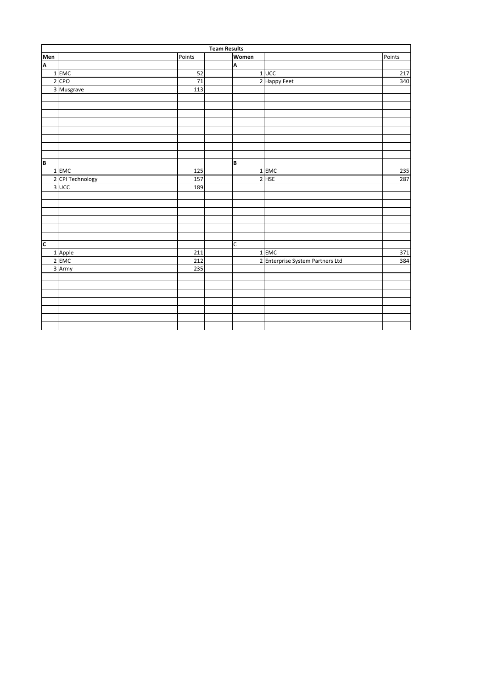|                         | <b>Team Results</b> |        |  |       |                                  |        |  |  |  |
|-------------------------|---------------------|--------|--|-------|----------------------------------|--------|--|--|--|
| Men                     |                     | Points |  | Women |                                  | Points |  |  |  |
| $\overline{\mathsf{A}}$ |                     |        |  | A     |                                  |        |  |  |  |
|                         | 1 EMC               | 52     |  |       | $1$ UCC                          | 217    |  |  |  |
|                         | 2 CPO               | 71     |  |       | 2 Happy Feet                     | 340    |  |  |  |
|                         | 3 Musgrave          | 113    |  |       |                                  |        |  |  |  |
|                         |                     |        |  |       |                                  |        |  |  |  |
|                         |                     |        |  |       |                                  |        |  |  |  |
|                         |                     |        |  |       |                                  |        |  |  |  |
|                         |                     |        |  |       |                                  |        |  |  |  |
|                         |                     |        |  |       |                                  |        |  |  |  |
|                         |                     |        |  |       |                                  |        |  |  |  |
|                         |                     |        |  |       |                                  |        |  |  |  |
|                         |                     |        |  |       |                                  |        |  |  |  |
| B                       |                     |        |  | B     |                                  |        |  |  |  |
|                         | $1$ EMC             | 125    |  |       | $1$ EMC                          | 235    |  |  |  |
|                         | 2 CPI Technology    | 157    |  |       | $2$ HSE                          | 287    |  |  |  |
|                         | 3 UCC               | 189    |  |       |                                  |        |  |  |  |
|                         |                     |        |  |       |                                  |        |  |  |  |
|                         |                     |        |  |       |                                  |        |  |  |  |
|                         |                     |        |  |       |                                  |        |  |  |  |
|                         |                     |        |  |       |                                  |        |  |  |  |
|                         |                     |        |  |       |                                  |        |  |  |  |
|                         |                     |        |  |       |                                  |        |  |  |  |
| $\overline{\mathsf{c}}$ |                     |        |  | C     |                                  |        |  |  |  |
|                         | 1 Apple             | 211    |  |       | 1 EMC                            | 371    |  |  |  |
|                         | 2 EMC               | 212    |  |       | 2 Enterprise System Partners Ltd | 384    |  |  |  |
|                         | 3 Army              | 235    |  |       |                                  |        |  |  |  |
|                         |                     |        |  |       |                                  |        |  |  |  |
|                         |                     |        |  |       |                                  |        |  |  |  |
|                         |                     |        |  |       |                                  |        |  |  |  |
|                         |                     |        |  |       |                                  |        |  |  |  |
|                         |                     |        |  |       |                                  |        |  |  |  |
|                         |                     |        |  |       |                                  |        |  |  |  |
|                         |                     |        |  |       |                                  |        |  |  |  |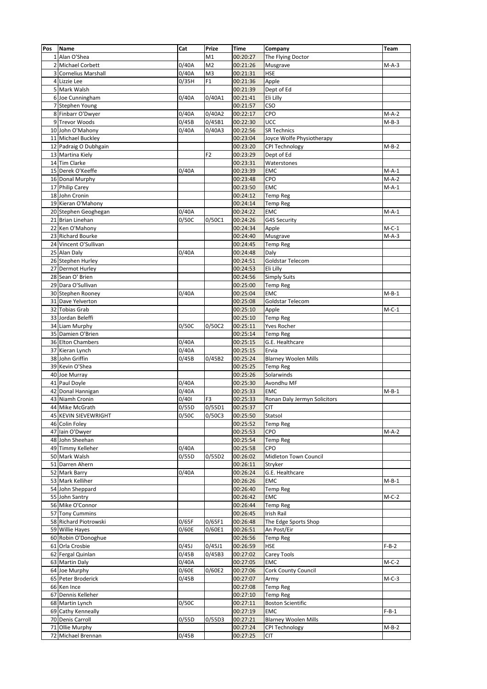| Pos            | Name                      | Cat                | Prize          | <b>Time</b> | Company                      | Team               |
|----------------|---------------------------|--------------------|----------------|-------------|------------------------------|--------------------|
|                | 1 Alan O'Shea             |                    | M1             | 00:20:27    | The Flying Doctor            |                    |
|                | 2 Michael Corbett         | 0/40A              | M <sub>2</sub> | 00:21:26    | Musgrave                     | $M-A-3$            |
| 3              | <b>Cornelius Marshall</b> | 0/40A              | M <sub>3</sub> | 00:21:31    | <b>HSE</b>                   |                    |
|                | 4 Lizzie Lee              | 0/35H              | F1             | 00:21:36    | Apple                        |                    |
|                | 5 Mark Walsh              |                    |                | 00:21:39    | Dept of Ed                   |                    |
|                | 6 Joe Cunningham          | 0/40A              | 0/40A1         | 00:21:41    | Eli Lilly                    |                    |
| $\overline{7}$ | Stephen Young             |                    |                | 00:21:57    | CSO                          |                    |
|                |                           |                    |                |             |                              |                    |
|                | 8 Finbarr O'Dwyer         | 0/40A              | 0/40A2         | 00:22:17    | CPO                          | $M-A-2$            |
|                | 9 Trevor Woods            | 0/45B              | 0/45B1         | 00:22:30    | UCC                          | $M-B-3$            |
|                | 10 John O'Mahony          | 0/40A              | 0/40A3         | 00:22:56    | <b>SR Technics</b>           |                    |
|                | 11 Michael Buckley        |                    |                | 00:23:04    | Joyce Wolfe Physiotherapy    |                    |
|                | 12 Padraig O Dubhgain     |                    |                | 00:23:20    | CPI Technology               | $M-B-2$            |
|                | 13 Martina Kiely          |                    | F <sub>2</sub> | 00:23:29    | Dept of Ed                   |                    |
|                | 14 Tim Clarke             |                    |                | 00:23:31    | Waterstones                  |                    |
|                | 15 Derek O'Keeffe         | 0/40A              |                | 00:23:39    | <b>EMC</b>                   | $M-A-1$            |
|                | 16 Donal Murphy           |                    |                | 00:23:48    | CPO                          | $\overline{M-A-2}$ |
|                | 17 Philip Carey           |                    |                | 00:23:50    | <b>EMC</b>                   | $M-A-1$            |
|                | 18 John Cronin            |                    |                | 00:24:12    | <b>Temp Reg</b>              |                    |
|                | 19 Kieran O'Mahony        |                    |                | 00:24:14    | <b>Temp Reg</b>              |                    |
|                | 20 Stephen Geoghegan      | 0/40A              |                | 00:24:22    | EMC                          | $M-A-1$            |
|                | 21 Brian Linehan          | 0/50C              | 0/50C1         | 00:24:26    | <b>G4S Security</b>          |                    |
|                | 22 Ken O'Mahony           |                    |                | 00:24:34    | Apple                        | $M-C-1$            |
|                | 23 Richard Bourke         |                    |                | 00:24:40    | Musgrave                     | $M-A-3$            |
|                | 24 Vincent O'Sullivan     |                    |                | 00:24:45    | <b>Temp Reg</b>              |                    |
|                | 25 Alan Daly              | 0/40A              |                | 00:24:48    | Daly                         |                    |
|                | 26 Stephen Hurley         |                    |                | 00:24:51    | Goldstar Telecom             |                    |
|                | 27 Dermot Hurley          |                    |                | 00:24:53    | Eli Lilly                    |                    |
|                |                           |                    |                |             |                              |                    |
|                | 28 Sean O' Brien          |                    |                | 00:24:56    | <b>Simply Suits</b>          |                    |
|                | 29 Dara O'Sullivan        |                    |                | 00:25:00    | <b>Temp Reg</b>              |                    |
|                | 30 Stephen Rooney         | $\overline{0}/40A$ |                | 00:25:04    | <b>EMC</b>                   | $M-B-1$            |
|                | 31 Dave Yelverton         |                    |                | 00:25:08    | Goldstar Telecom             |                    |
|                | 32 Tobias Grab            |                    |                | 00:25:10    | Apple                        | $M-C-1$            |
|                | 33 Jordan Beleffi         |                    |                | 00:25:10    | <b>Temp Reg</b>              |                    |
|                | 34 Liam Murphy            | 0/50C              | 0/50C2         | 00:25:11    | <b>Yves Rocher</b>           |                    |
|                | 35 Damien O'Brien         |                    |                | 00:25:14    | <b>Temp Reg</b>              |                    |
|                | 36 Elton Chambers         | 0/40A              |                | 00:25:15    | G.E. Healthcare              |                    |
|                | 37 Kieran Lynch           | 0/40A              |                | 00:25:15    | Ervia                        |                    |
|                | 38 John Griffin           | 0/45B              | 0/45B2         | 00:25:24    | <b>Blarney Woolen Mills</b>  |                    |
|                | 39 Kevin O'Shea           |                    |                | 00:25:25    | <b>Temp Reg</b>              |                    |
|                | 40 Joe Murray             |                    |                | 00:25:26    | Solarwinds                   |                    |
|                | 41 Paul Doyle             | 0/40A              |                | 00:25:30    | Avondhu MF                   |                    |
|                | 42 Donal Hannigan         | 0/40A              |                | 00:25:33    | <b>EMC</b>                   | $M-B-1$            |
| 43             | Niamh Cronin              | 0/401              | F3             | 00:25:33    | Ronan Daly Jermyn Solicitors |                    |
|                | 44 Mike McGrath           | 0/55D              | 0/55D1         | 00:25:37    | <b>CIT</b>                   |                    |
|                |                           |                    |                |             |                              |                    |
|                | 45 KEVIN SIEVEWRIGHT      | 0/50C              | 0/50C3         | 00:25:50    | Statsol                      |                    |
|                | 46 Colin Foley            |                    |                | 00:25:52    | <b>Temp Reg</b>              |                    |
|                | 47 Iain O'Dwyer           |                    |                | 00:25:53    | <b>CPO</b>                   | $M-A-2$            |
|                | 48 John Sheehan           |                    |                | 00:25:54    | <b>Temp Reg</b>              |                    |
|                | 49 Timmy Kelleher         | 0/40A              |                | 00:25:58    | CPO                          |                    |
|                | 50 Mark Walsh             | 0/55D              | 0/55D2         | 00:26:02    | Midleton Town Council        |                    |
|                | 51 Darren Ahern           |                    |                | 00:26:11    | Stryker                      |                    |
|                | 52 Mark Barry             | 0/40A              |                | 00:26:24    | G.E. Healthcare              |                    |
|                | 53 Mark Kelliher          |                    |                | 00:26:26    | <b>EMC</b>                   | M-B-1              |
|                | 54 John Sheppard          |                    |                | 00:26:40    | <b>Temp Reg</b>              |                    |
|                | 55 John Santry            |                    |                | 00:26:42    | EMC                          | $M-C-2$            |
|                | 56 Mike O'Connor          |                    |                | 00:26:44    | <b>Temp Reg</b>              |                    |
|                | 57 Tony Cummins           |                    |                | 00:26:45    | Irish Rail                   |                    |
|                | 58 Richard Piotrowski     | 0/65F              | 0/65F1         | 00:26:48    | The Edge Sports Shop         |                    |
|                | 59 Willie Hayes           | 0/60E              | 0/60E1         | 00:26:51    | An Post/Eir                  |                    |
|                | 60 Robin O'Donoghue       |                    |                | 00:26:56    | <b>Temp Reg</b>              |                    |
|                | 61 Orla Crosbie           | 0/45J              | 0/45J1         | 00:26:59    | <b>HSE</b>                   | $F-B-2$            |
|                | 62 Fergal Quinlan         | 0/45B              | 0/45B3         | 00:27:02    | Carey Tools                  |                    |
|                |                           |                    |                |             |                              |                    |
|                | 63 Martin Daly            | 0/40A              |                | 00:27:05    | <b>EMC</b>                   | $M-C-2$            |
|                | 64 Joe Murphy             | 0/60E              | 0/60E2         | 00:27:06    | <b>Cork County Council</b>   |                    |
|                | 65 Peter Broderick        | 0/45B              |                | 00:27:07    | Army                         | $M-C-3$            |
|                | 66 Ken Ince               |                    |                | 00:27:08    | <b>Temp Reg</b>              |                    |
|                | 67 Dennis Kelleher        |                    |                | 00:27:10    | <b>Temp Reg</b>              |                    |
|                | 68 Martin Lynch           | 0/50C              |                | 00:27:11    | <b>Boston Scientific</b>     |                    |
|                | 69 Cathy Kenneally        |                    |                | 00:27:19    | <b>EMC</b>                   | $F-B-1$            |
|                | 70 Denis Carroll          | 0/55D              | 0/55D3         | 00:27:21    | <b>Blarney Woolen Mills</b>  |                    |
|                | 71 Ollie Murphy           |                    |                | 00:27:24    | CPI Technology               | $M-B-2$            |
|                | 72 Michael Brennan        | 0/45B              |                | 00:27:25    | <b>CIT</b>                   |                    |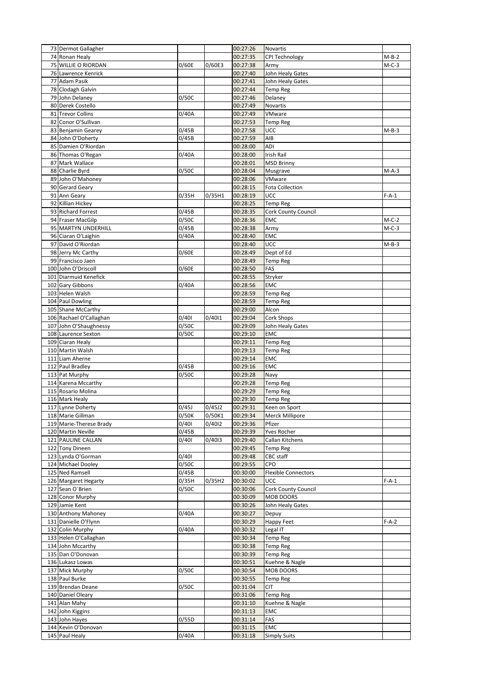| 73 Dermot Gallagher     |       |        | 00:27:26 | Novartis                   |         |
|-------------------------|-------|--------|----------|----------------------------|---------|
| 74 Ronan Healy          |       |        | 00:27:35 | CPI Technology             | $M-B-2$ |
| 75 WILLIE O RIORDAN     | 0/60E | 0/60E3 | 00:27:38 | Army                       | $M-C-3$ |
| 76 Lawrence Kenrick     |       |        | 00:27:40 | John Healy Gates           |         |
| 77 Adam Pasik           |       |        | 00:27:41 | John Healy Gates           |         |
| 78 Clodagh Galvin       |       |        | 00:27:44 | Temp Reg                   |         |
| 79 John Delaney         | 0/50C |        | 00:27:46 | Delaney                    |         |
| 80 Derek Costello       |       |        | 00:27:49 | Novartis                   |         |
| 81 Trevor Collins       | 0/40A |        | 00:27:49 | VMware                     |         |
| 82 Conor O'Sullivan     |       |        | 00:27:53 | Temp Reg                   |         |
| 83 Benjamin Gearey      | 0/45B |        | 00:27:58 | UCC                        | M-B-3   |
| 84 John O'Doherty       | 0/45B |        | 00:27:59 | AIB                        |         |
| 85 Damien O'Riordan     |       |        | 00:28:00 | ADI                        |         |
| 86 Thomas O'Regan       | 0/40A |        | 00:28:00 | Irish Rail                 |         |
| 87 Mark Wallace         |       |        | 00:28:01 | <b>MSD Brinny</b>          |         |
| 88 Charlie Byrd         | 0/50C |        | 00:28:04 | Musgrave                   | $M-A-3$ |
| 89 John O'Mahoney       |       |        | 00:28:06 | VMware                     |         |
| 90 Gerard Geary         |       |        | 00:28:15 | Fota Collection            |         |
| 91 Ann Geary            | 0/35H | 0/35H1 | 00:28:19 | UCC                        | $F-A-1$ |
| 92 Killian Hickey       |       |        | 00:28:25 | Temp Reg                   |         |
| 93 Richard Forrest      | 0/45B |        | 00:28:35 | Cork County Council        |         |
| 94 Fraser MacGilp       | 0/50C |        | 00:28:36 | <b>EMC</b>                 | $M-C-2$ |
| 95 MARTYN UNDERHILL     | 0/45B |        | 00:28:38 | Army                       | $M-C-3$ |
| 96 Ciaran O'Laighin     | 0/40A |        | 00:28:40 | EMC                        |         |
| 97 David O'Riordan      |       |        | 00:28:40 | UCC                        | $M-B-3$ |
| 98 Jerry Mc Carthy      | 0/60E |        | 00:28:49 | Dept of Ed                 |         |
| 99 Francisco Jaen       |       |        | 00:28:49 | Temp Reg                   |         |
| 100 John O'Driscoll     | 0/60E |        | 00:28:50 | FAS                        |         |
| 101 Diarmuid Kenefick   |       |        | 00:28:55 | Stryker                    |         |
| 102 Gary Gibbons        | 0/40A |        | 00:28:56 | EMC                        |         |
| 103 Helen Walsh         |       |        | 00:28:59 | Temp Reg                   |         |
| 104 Paul Dowling        |       |        | 00:28:59 | Temp Reg                   |         |
| 105 Shane McCarthy      |       |        | 00:29:00 | Alcon                      |         |
| 106 Rachael O'Callaghan | 0/401 | 0/4011 | 00:29:04 | Cork Shops                 |         |
| 107 John O'Shaughnessy  | 0/50C |        | 00:29:09 | John Healy Gates           |         |
| 108 Laurence Sexton     | 0/50C |        | 00:29:10 | EMC                        |         |
| 109 Ciaran Healy        |       |        | 00:29:11 | <b>Temp Reg</b>            |         |
| 110 Martin Walsh        |       |        | 00:29:13 | Temp Reg                   |         |
| 111 Liam Aherne         |       |        | 00:29:14 | EMC                        |         |
| 112 Paul Bradley        | 0/45B |        | 00:29:16 | EMC                        |         |
| 113 Pat Murphy          | 0/50C |        | 00:29:28 | Navy                       |         |
| 114 Karena Mccarthy     |       |        | 00:29:28 | Temp Reg                   |         |
| 115 Rosario Molina      |       |        | 00:29:29 | Temp Reg                   |         |
| 116 Mark Healy          |       |        | 00:29:30 | <b>Temp Reg</b>            |         |
| 117 Lynne Doherty       | 0/45J | 0/45J2 | 00:29:31 | Keen on Sport              |         |
| 118 Marie Gillman       | 0/50K | 0/50K1 | 00:29:34 | Merck Millipore            |         |
| 119 Marie-Therese Brady | 0/401 | 0/4012 | 00:29:36 | Pfizer                     |         |
| 120 Martin Neville      | 0/45B |        | 00:29:39 | Yves Rocher                |         |
| 121 PAULINE CALLAN      | 0/401 | 0/4013 | 00:29:40 | Callan Kitchens            |         |
| 122 Tony Dineen         |       |        | 00:29:45 | Temp Reg                   |         |
| 123 Lynda O'Gorman      | 0/401 |        | 00:29:48 | CBC staff                  |         |
| 124 Michael Dooley      | 0/50C |        | 00:29:55 | CPO                        |         |
| 125 Ned Ramsell         | 0/45B |        | 00:30:00 | <b>Flexible Connectors</b> |         |
| 126 Margaret Hegarty    | 0/35H | 0/35H2 | 00:30:02 | UCC                        | $F-A-1$ |
| 127 Sean O'Brien        | 0/50C |        | 00:30:06 | Cork County Council        |         |
| 128 Conor Murphy        |       |        | 00:30:09 | MOB DOORS                  |         |
| 129 Jamie Kent          |       |        | 00:30:26 | John Healy Gates           |         |
| 130 Anthony Mahoney     | 0/40A |        | 00:30:27 | Depuy                      |         |
| 131 Danielle O'Flynn    |       |        | 00:30:29 | Happy Feet                 | $F-A-2$ |
| 132 Colin Murphy        | 0/40A |        | 00:30:32 | Legal IT                   |         |
| 133 Helen O'Callaghan   |       |        | 00:30:34 | Temp Reg                   |         |
| 134 John Mccarthy       |       |        | 00:30:38 | Temp Reg                   |         |
| 135 Dan O'Donovan       |       |        | 00:30:39 | Temp Reg                   |         |
| 136 Lukasz Lowas        |       |        | 00:30:51 | Kuehne & Nagle             |         |
|                         |       |        |          |                            |         |
| 137 Mick Murphy         | 0/50C |        | 00:30:54 | MOB DOORS                  |         |
| 138 Paul Burke          |       |        | 00:30:55 | <b>Temp Reg</b>            |         |
| 139 Brendan Deane       | 0/50C |        | 00:31:04 | CIT                        |         |
| 140 Daniel Oleary       |       |        | 00:31:06 | Temp Reg                   |         |
| 141 Alan Mahy           |       |        | 00:31:10 | Kuehne & Nagle             |         |
| 142 John Kiggins        |       |        | 00:31:13 | <b>EMC</b>                 |         |
| 143 John Hayes          | 0/55D |        | 00:31:14 | FAS                        |         |
| 144 Kevin O'Donovan     |       |        | 00:31:15 | <b>EMC</b>                 |         |
| 145 Paul Healy          | 0/40A |        | 00:31:18 | <b>Simply Suits</b>        |         |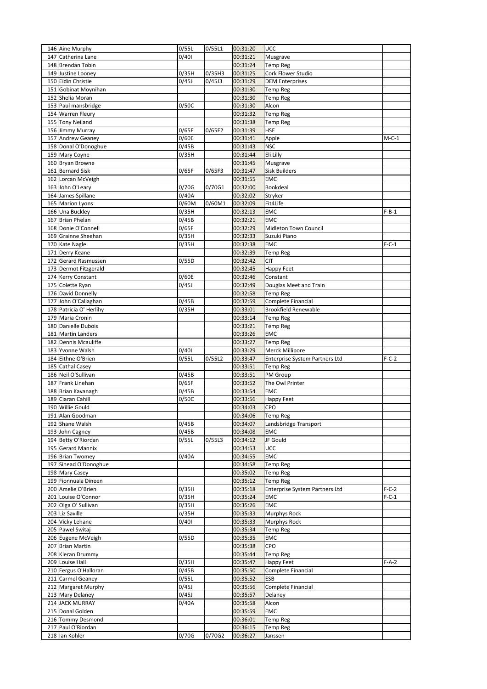| 146 Aine Murphy                      | 0/55L | 0/55L1 | 00:31:20             | UCC                            |         |
|--------------------------------------|-------|--------|----------------------|--------------------------------|---------|
| 147 Catherina Lane                   | 0/401 |        | 00:31:21             | Musgrave                       |         |
| 148 Brendan Tobin                    |       |        | 00:31:24             | <b>Temp Reg</b>                |         |
| 149 Justine Looney                   | 0/35H | 0/35H3 | 00:31:25             | Cork Flower Studio             |         |
| 150 Eidin Christie                   | 0/45J | 0/45J3 | 00:31:29             | <b>DEM Enterprises</b>         |         |
| 151 Gobinat Moynihan                 |       |        | 00:31:30             | Temp Reg                       |         |
| 152 Shelia Moran                     |       |        | 00:31:30             | <b>Temp Reg</b>                |         |
| 153 Paul mansbridge                  | 0/50C |        | 00:31:30             | Alcon                          |         |
| 154 Warren Fleury                    |       |        | 00:31:32             | <b>Temp Reg</b>                |         |
| 155 Tony Neiland                     |       |        | 00:31:38             | <b>Temp Reg</b>                |         |
| 156 Jimmy Murray                     | 0/65F | 0/65F2 | 00:31:39             | <b>HSE</b>                     |         |
| 157 Andrew Geaney                    | 0/60E |        | 00:31:41             | Apple                          | $M-C-1$ |
| 158 Donal O'Donoghue                 | 0/45B |        | 00:31:43             | <b>NSC</b>                     |         |
| 159 Mary Coyne                       | 0/35H |        | 00:31:44             | Eli Lilly                      |         |
| 160 Bryan Browne                     |       |        | 00:31:45             | Musgrave                       |         |
| 161 Bernard Sisk                     | 0/65F | 0/65F3 | 00:31:47             | <b>Sisk Builders</b>           |         |
| 162 Lorcan McVeigh                   |       |        | 00:31:55             | <b>EMC</b>                     |         |
| 163 John O'Leary                     | 0/70G | 0/70G1 | 00:32:00             | Bookdeal                       |         |
| 164 James Spillane                   | 0/40A |        | 00:32:02             | Stryker                        |         |
| 165 Marion Lyons                     | 0/60M | 0/60M1 | 00:32:09             | Fit4Life                       |         |
| 166 Una Buckley                      | 0/35H |        | 00:32:13             | EMC                            | $F-B-1$ |
| 167 Brian Phelan                     | 0/45B |        | 00:32:21             | <b>EMC</b>                     |         |
| 168 Donie O'Connell                  | 0/65F |        | 00:32:29             | Midleton Town Council          |         |
| 169 Grainne Sheehan                  | 0/35H |        | 00:32:33             | Suzuki Piano                   |         |
| 170 Kate Nagle                       | 0/35H |        | 00:32:38             | <b>EMC</b>                     | $F-C-1$ |
| 171 Derry Keane                      |       |        | 00:32:39             | <b>Temp Reg</b>                |         |
| 172 Gerard Rasmussen                 | 0/55D |        | 00:32:42             | CIT                            |         |
| 173 Dermot Fitzgerald                |       |        | 00:32:45             | Happy Feet                     |         |
| 174 Kerry Constant                   | 0/60E |        | 00:32:46             | Constant                       |         |
| 175 Colette Ryan                     | 0/45J |        | 00:32:49             | Douglas Meet and Train         |         |
| 176 David Donnelly                   |       |        | 00:32:58             | <b>Temp Reg</b>                |         |
| 177 John O'Callaghan                 | 0/45B |        | 00:32:59             | Complete Financial             |         |
| 178 Patricia O' Herlihy              | 0/35H |        | 00:33:01             | <b>Brookfield Renewable</b>    |         |
| 179 Maria Cronin                     |       |        | 00:33:14             | <b>Temp Reg</b>                |         |
| 180 Danielle Dubois                  |       |        | 00:33:21             | <b>Temp Reg</b>                |         |
| 181 Martin Landers                   |       |        | 00:33:26             | EMC                            |         |
| 182 Dennis Mcauliffe                 |       |        | 00:33:27             | <b>Temp Reg</b>                |         |
| 183 Yvonne Walsh                     | 0/401 |        | 00:33:29             | Merck Millipore                |         |
| 184 Eithne O'Brien                   | 0/55L | 0/55L2 | 00:33:47             | Enterprise System Partners Ltd | $F-C-2$ |
| 185 Cathal Casey                     |       |        | 00:33:51             | <b>Temp Reg</b>                |         |
|                                      |       |        |                      |                                |         |
|                                      |       |        |                      |                                |         |
| 186 Neil O'Sullivan                  | 0/45B |        | 00:33:51             | PM Group                       |         |
| 187 Frank Linehan                    | 0/65F |        | 00:33:52             | The Owl Printer                |         |
| 188 Brian Kavanagh                   | 0/45B |        | 00:33:54             | <b>EMC</b>                     |         |
| 189 Ciaran Cahill                    | 0/50C |        | 00:33:56             | Happy Feet                     |         |
| 190 Willie Gould                     |       |        | 00:34:03             | CPO                            |         |
| 191 Alan Goodman                     |       |        | 00:34:06             | <b>Temp Reg</b>                |         |
| 192 Shane Walsh                      | 0/45B |        | 00:34:07             | Landsbridge Transport          |         |
| 193 John Cagney                      | 0/45B |        | 00:34:08             | <b>EMC</b>                     |         |
| 194 Betty O'Riordan                  | 0/55L | 0/55L3 | 00:34:12             | JF Gould                       |         |
| 195 Gerard Mannix                    |       |        | 00:34:53             | UCC                            |         |
| 196 Brian Twomey                     | 0/40A |        | 00:34:55             | <b>EMC</b>                     |         |
| 197 Sinead O'Donoghue                |       |        | 00:34:58             | <b>Temp Reg</b>                |         |
| 198 Mary Casey                       |       |        | 00:35:02             | <b>Temp Reg</b>                |         |
| 199 Fionnuala Dineen                 |       |        | 00:35:12             | <b>Temp Reg</b>                |         |
| 200 Amelie O'Brien                   | 0/35H |        | 00:35:18             | Enterprise System Partners Ltd | $F-C-2$ |
| 201 Louise O'Connor                  | 0/35H |        | 00:35:24             | EMC                            | $F-C-1$ |
| 202 Olga O' Sullivan                 | 0/35H |        | 00:35:26             | <b>EMC</b>                     |         |
| 203 Liz Saville                      | o/35H |        | 00:35:33             | Murphys Rock                   |         |
| 204 Vicky Lehane                     | 0/401 |        | 00:35:33             | Murphys Rock                   |         |
| 205 Pawel Switaj                     |       |        | 00:35:34             | <b>Temp Reg</b>                |         |
| 206 Eugene McVeigh                   | 0/55D |        | 00:35:35             | EMC                            |         |
| 207 Brian Martin                     |       |        | 00:35:38             | CPO                            |         |
| 208 Kieran Drummy                    |       |        | 00:35:44             | <b>Temp Reg</b>                |         |
| 209 Louise Hall                      | 0/35H |        | 00:35:47             | Happy Feet                     | $F-A-2$ |
| 210 Fergus O'Halloran                | 0/45B |        | 00:35:50             | Complete Financial             |         |
| 211 Carmel Geaney                    | 0/55L |        | 00:35:52             | ESB                            |         |
| 212 Margaret Murphy                  | 0/45J |        | 00:35:56             | Complete Financial             |         |
| 213 Mary Delaney                     | 0/45J |        | 00:35:57             | Delaney                        |         |
| 214 JACK MURRAY                      | 0/40A |        | 00:35:58             | Alcon                          |         |
| 215 Donal Golden                     |       |        | 00:35:59             | EMC                            |         |
| 216 Tommy Desmond                    |       |        | 00:36:01             | Temp Reg                       |         |
| 217 Paul O'Riordan<br>218 Ian Kohler | 0/70G | 0/70G2 | 00:36:15<br>00:36:27 | <b>Temp Reg</b><br>Janssen     |         |